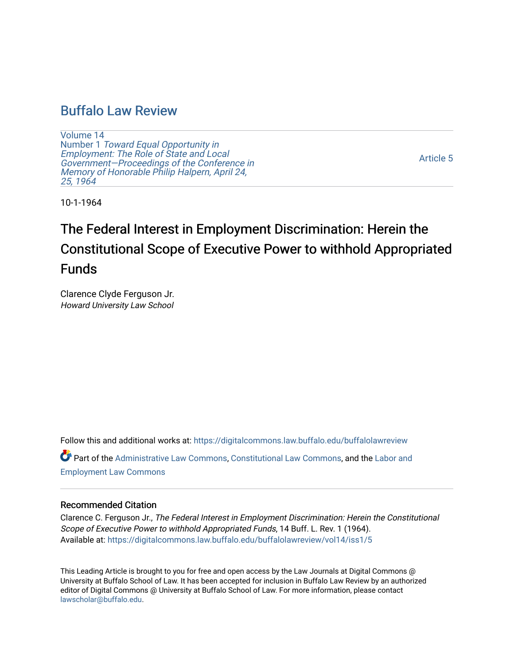# [Buffalo Law Review](https://digitalcommons.law.buffalo.edu/buffalolawreview)

[Volume 14](https://digitalcommons.law.buffalo.edu/buffalolawreview/vol14) Number 1 [Toward Equal Opportunity in](https://digitalcommons.law.buffalo.edu/buffalolawreview/vol14/iss1)  [Employment: The Role of State and Local](https://digitalcommons.law.buffalo.edu/buffalolawreview/vol14/iss1)  [Government—Proceedings of the Conference in](https://digitalcommons.law.buffalo.edu/buffalolawreview/vol14/iss1)  [Memory of Honorable Philip Halpern, April 24,](https://digitalcommons.law.buffalo.edu/buffalolawreview/vol14/iss1)  [25, 1964](https://digitalcommons.law.buffalo.edu/buffalolawreview/vol14/iss1) 

[Article 5](https://digitalcommons.law.buffalo.edu/buffalolawreview/vol14/iss1/5) 

10-1-1964

# The Federal Interest in Employment Discrimination: Herein the Constitutional Scope of Executive Power to withhold Appropriated **Funds**

Clarence Clyde Ferguson Jr. Howard University Law School

Follow this and additional works at: [https://digitalcommons.law.buffalo.edu/buffalolawreview](https://digitalcommons.law.buffalo.edu/buffalolawreview?utm_source=digitalcommons.law.buffalo.edu%2Fbuffalolawreview%2Fvol14%2Fiss1%2F5&utm_medium=PDF&utm_campaign=PDFCoverPages) 

Part of the [Administrative Law Commons,](http://network.bepress.com/hgg/discipline/579?utm_source=digitalcommons.law.buffalo.edu%2Fbuffalolawreview%2Fvol14%2Fiss1%2F5&utm_medium=PDF&utm_campaign=PDFCoverPages) [Constitutional Law Commons,](http://network.bepress.com/hgg/discipline/589?utm_source=digitalcommons.law.buffalo.edu%2Fbuffalolawreview%2Fvol14%2Fiss1%2F5&utm_medium=PDF&utm_campaign=PDFCoverPages) and the [Labor and](http://network.bepress.com/hgg/discipline/909?utm_source=digitalcommons.law.buffalo.edu%2Fbuffalolawreview%2Fvol14%2Fiss1%2F5&utm_medium=PDF&utm_campaign=PDFCoverPages) [Employment Law Commons](http://network.bepress.com/hgg/discipline/909?utm_source=digitalcommons.law.buffalo.edu%2Fbuffalolawreview%2Fvol14%2Fiss1%2F5&utm_medium=PDF&utm_campaign=PDFCoverPages)

# Recommended Citation

Clarence C. Ferguson Jr., The Federal Interest in Employment Discrimination: Herein the Constitutional Scope of Executive Power to withhold Appropriated Funds, 14 Buff. L. Rev. 1 (1964). Available at: [https://digitalcommons.law.buffalo.edu/buffalolawreview/vol14/iss1/5](https://digitalcommons.law.buffalo.edu/buffalolawreview/vol14/iss1/5?utm_source=digitalcommons.law.buffalo.edu%2Fbuffalolawreview%2Fvol14%2Fiss1%2F5&utm_medium=PDF&utm_campaign=PDFCoverPages) 

This Leading Article is brought to you for free and open access by the Law Journals at Digital Commons @ University at Buffalo School of Law. It has been accepted for inclusion in Buffalo Law Review by an authorized editor of Digital Commons @ University at Buffalo School of Law. For more information, please contact [lawscholar@buffalo.edu](mailto:lawscholar@buffalo.edu).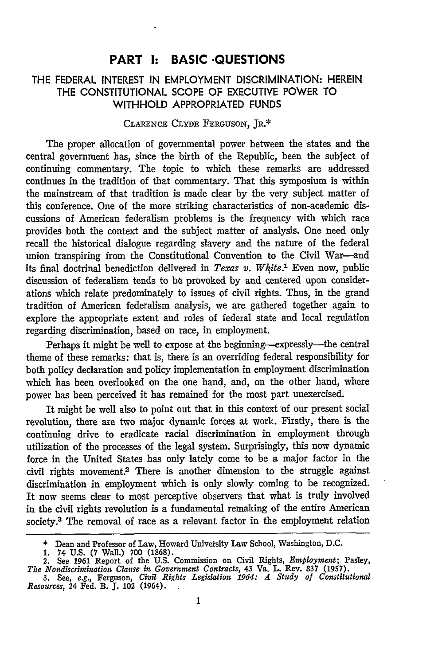# **PART 1: BASIC -QUESTIONS**

# THE FEDERAL **INTEREST IN** EMPLOYMENT DISCRIMINATION: HEREIN THE CONSTITUTIONAL SCOPE OF EXECUTIVE POWER TO WITHHOLD APPROPRIATED FUNDS

#### **CLARENCE CLYDE** FERGUSON, **JR.\***

The proper allocation of governmental power between the states and the central government has, since the birth of the Republic, been the subject of continuing commentary. The topic to which these remarks are addressed continues in the tradition of that commentary. That this symposium is within the mainstream of that tradition is made clear by the very subject matter of this conference. One of the more striking characteristics of non-academic discussions of American federalism problems is the frequency with which race provides both the context and the subject matter of analysis. One need only recall the historical dialogue regarding slavery and the nature of the federal union transpiring from the Constitutional Convention to the Civil War-and its final doctrinal benediction delivered in *Texas v. White*.<sup>1</sup> Even now, public discussion of federalism tends to **bi** provoked by and centered upon considerations which relate predominately to issues of civil rights. Thus, in the grand tradition of American federalism analysis, we are gathered together again to explore the appropriate extent and roles of federal state and local regulation regarding discrimination, based on race, in employment.

Perhaps it might be well to expose at the beginning--expressly-the central theme of these remarks: that is, there is an overriding federal responsibility for both policy declaration and policy implementation in employment discrimination which has been overlooked on the one hand, and, on the other hand, where power has been perceived it has remained for the most part unexercised.

It might be well also to point out that in this context of our present social revolution, there are two major dynamic forces at work. Firstly, there is the continuing drive to eradicate racial discrimination in employment through utilization of the processes of the legal system. Surprisingly, this now dynamic force in the United States has only lately come to be a major factor in the civil rights movement.2 There is another dimension to the struggle against discrimination in employment which is only slowly coming to be recognized. It now seems clear to most perceptive observers that what is truly involved in the civil rights revolution is a fundamental remaking of the entire American society.3 The removal of race as a relevant factor in the employment relation

**<sup>\*</sup>** Dean and Professor of Law, Howard University Law School, Washington, D.C.

<sup>1. 74</sup> U.S. **(7** Wall.) 700 (1868). 2. See **1961** Report of the U.S. Commission on Civil Rights, *Employment;* Pasley, *The Nondiscrimination Clause in Government Contracts,* 43 Va. L. Rev. **837** (1957).

**<sup>3.</sup>** See, e.g., Ferguson, *Civil Rights Legislation 1964: A Study of Constitutional Resources,* 24 Fed. B. J. 102 (1964).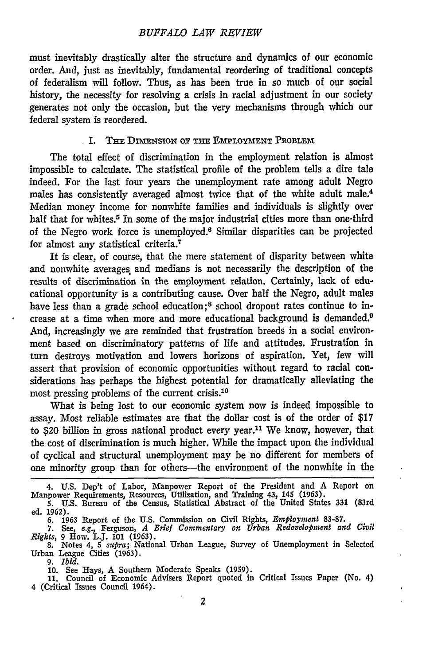must inevitably drastically alter the structure and dynamics of our economic order. And, just as inevitably, fundamental reordering of traditional concepts of federalism will follow. Thus, as has been true in so much of our social history, the necessity for resolving a crisis in racial adjustment in our society generates not only the occasion, but the very mechanisms through which our federal system is reordered.

#### I. THE **DIMENSION OF THE EMPLOYMENT PROBLEM**

The total effect of discrimination in the employment relation is almost impossible to calculate. The statistical profile of the problem tells a dire tale indeed. For the last four years the unemployment rate among adult Negro males has consistently averaged almost twice that of the white adult male.<sup>4</sup> Median money income for nonwhite families and individuals is slightly over half that for whites.<sup>5</sup> In some of the major industrial cities more than one-third of the Negro work force is unemployed.<sup>6</sup> Similar disparities can be projected for almost any statistical criteria.<sup>7</sup>

It is clear, of course, that the mere statement of disparity between white and nonwhite averages and medians is not necessarily the description of the results of discrimination in the employment relation. Certainly, lack of educational opportunity is a contributing cause. Over half the Negro, adult males have less than a grade school education;<sup>8</sup> school dropout rates continue to increase at a time when more and more educational background is demanded. And, increasingly we are reminded that frustration breeds in a social environment based on discriminatory patterns of life and attitudes. Frustration in turn destroys motivation and lowers horizons of aspiration. Yet, few will assert that provision of economic opportunities without regard to racial considerations has perhaps the highest potential for dramatically alleviating the most pressing problems of the current crisis. <sup>10</sup>

What is being lost to our economic system now is indeed impossible to assay. Most reliable estimates are that the dollar cost is of the order of **\$17** to \$20 billion in gross national product every year.<sup>11</sup> We know, however, that the cost of discrimination is much higher. While the impact upon the individual of cyclical and structural unemployment may be no different for members of one minority group than for others-the environment of the nonwhite in the

**10.** See Hays, **A** Southern Moderate Speaks (1959).

11. Council of Economic Advisers Report quoted in Critical Issues Paper (No. 4) 4 (Critical Issues Council 1964).

**<sup>4.</sup> U.S.** Dep't of Labor, Manpower Report of the President and A Report on Manpower **Requirements, Resources, Utilization, and Training 43, 145 (1963). 5. U.S.** Bureau of the Census, Statistical Abstract of the United States **331** (83rd

ed. **1962).**

**<sup>6.</sup>** 1963 Report of the **U.S.** Commission on Civil Rights, *Employment* 83-87.

**<sup>7.</sup>** See, *e.g.,* Ferguson, *A Brief Commentary on Urban Redevelopment and Civil Rights,* **9** How. L.J. **101 (1963). 8.** Notes 4, 5 *supra;* National Urban League, Survey of Unemployment in Selected

Urban League Cities **(1963).**

*<sup>9.</sup> Ibid.*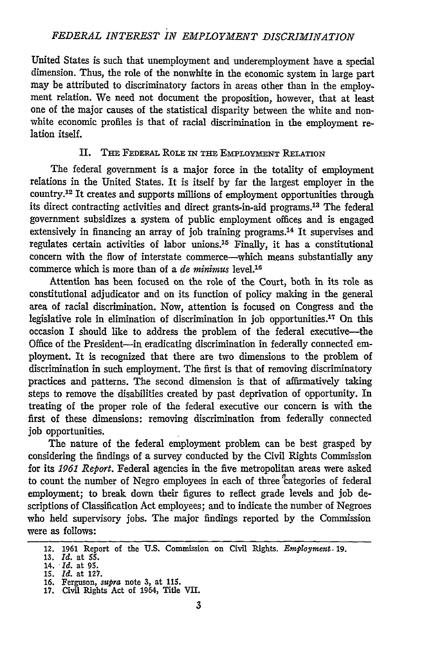United States is such that unemployment and underemployment have a special dimension. Thus, the role of the nonwhite in the economic system in large part may be attributed to discriminatory factors in areas other than in the employment relation. We need not document the proposition, however, that at least one of the major causes of the statistical disparity between the white and nonwhite economic profiles is that of racial discrimination in the employment relation itself.

# II. **THE FREDERAL ROLE IN THE** EMPLOYAENT **RELATION**

The federal government is a major force in the totality of employment relations in the United States. It is itself by far the largest employer in the country.12 It creates and supports millions of employment opportunities through its direct contracting activities and direct grants-in-aid programs.13 The federal government subsidizes a system of public employment offices and is engaged extensively in financing an array of job training programs.<sup>14</sup> It supervises and regulates certain activities of labor unions.<sup>15</sup> Finally, it has a constitutional concern with the flow of interstate commerce-which means substantially any commerce which is more than of a *de minimus* level.16

Attention has been focused on the role of the Court, both in its role as constitutional adjudicator and on its function of policy making in the general area of racial discrimination. Now, attention is focused on Congress and the legislative role in elimination of discrimination in **job** opportunities.17 On this occasion I should like to address the problem of the federal executive-the Office of the President-in eradicating discrimination in federally connected employment. It is recognized that there are two dimensions to the problem of discrimination in such employment. The first is that of removing discriminatory practices and patterns. The second dimension is that of affirmatively taking steps to remove the disabilities created by past deprivation of opportunity. In treating of the proper role of the federal executive our concern is with the first of these dimensions: removing discrimination from federally connected **job** opportunities.

The nature of the federal employment problem can be best grasped by considering the findings of a survey conducted by the Civil Rights Commission for its *1961 Report.* Federal agencies in the five metropolitan areas were asked to count the number of Negro employees in each of three categories of federal employment; to break down their figures to reflect grade levels and **job** descriptions of Classification Act employees; and to indicate the number of Negroes who held supervisory jobs. The major findings reported by the Commission were as follows:

**<sup>12. 1961</sup>** Report of the **U.S.** Commission on **Civil** Rights. *Employment.* **19.**

**<sup>13.</sup>** *Id.* at **55.**

<sup>14.</sup> **•** *Id.* at **99.**

*<sup>15.</sup> Id.* at **127.**

**<sup>16.</sup>** Ferguson, *supra* note **3,** at **115. 17.** Civil Rights Act of **1964,** Title **VII.**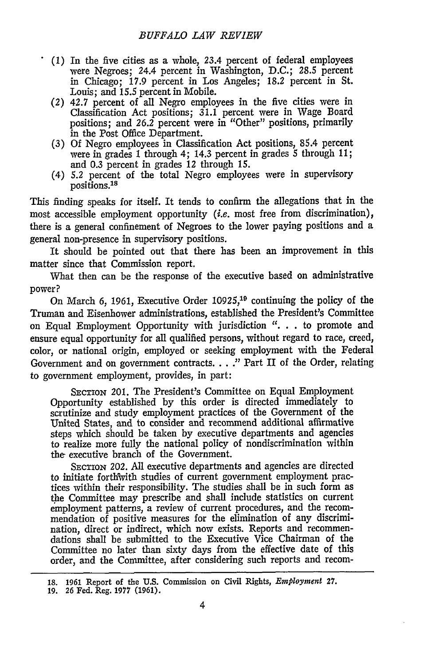- **(1)** In the five cities as a whole, 23.4 percent of federal employees were Negroes; 24.4 percent in Washington, **D.C.; 28.5** percent in Chicago; **17.9** percent in Los Angeles; 18.2 percent in St. Louis; and **15.5** percent in Mobile.
- (2) 42.7 percent of all Negro employees in the five cities were in Classification Act positions; **31.1** percent were in Wage Board positions; and *26.2* percent were in "Other" positions, primarily in the Post Office Department.
- **(3)** Of Negro employees in Classification Act positions, 85.4 percent were in grades **1** through 4; 14.3 percent in grades **5** through **11;** and **0.3** percent in grades 12 through **15.**
- (4) 5.2 percent of the total Negro employees were in supervisory positions.18

This finding speaks for itself. It tends to confirm the allegations that in the most accessible employment opportunity (i.e. most free from discrimination), there is a general confinement of Negroes to the lower paying positions and a general non-presence in supervisory positions.

It should be pointed out that there has been an improvement in this matter since that Commission report.

What then can be the response of the executive based on administrative power?

On March 6, **1961,** Executive Order **10925,19** continuing the policy of the Truman and Eisenhower administrations, established the President's Committee on Equal Employment Opportunity with jurisdiction **". . .** to promote and ensure equal opportunity for all qualified persons, without regard to race, creed, color, or national origin, employed or seeking employment with the Federal Government and on government contracts. . . **."** Part II of the Order, relating to government employment, provides, in part:

SECTION 201. The President's Committee on Equal Employment Opportunity established by this order is directed immediately to scrutinize and study employment practices of the Government of the United States, and to consider and recommend additional affirmative steps which should be taken by executive departments and agencies to realize more fully the national policy of nondiscrimination within the executive branch of the Government.

SEcTION 202. All executive departments and agencies are directed to initiate forthwith studies of current government employment practices within their responsibility. The studies shall be in such form as the Committee may prescribe and shall include statistics on current employment patterns, a review of current procedures, and the recommendation of positive measures for the elimination of any discrimination, direct or indirect, which now exists. Reports and recommendations shall be submitted to the Executive Vice Chairman of the Committee no later than sixty days from the effective date of this order, and the Committee, after considering such reports and recom-

**<sup>18.</sup>** 1961 Report of the **U.S.** Commission on Civil Rights, *Employment* **27. 19. 26** Fed. Reg. **1977 (1961).**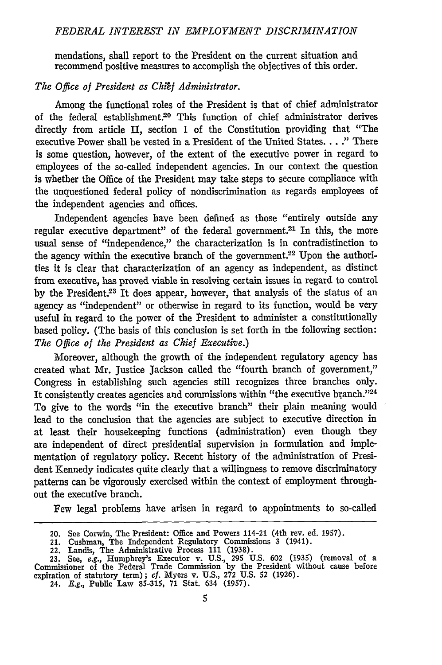mendations, shall report to the President on the current situation and recommend positive measures to accomplish the objectives of this order.

#### *The Office of President as Chief Administrator.*

Among the functional roles of the President is that of chief administrator of the federal establishment.<sup>20</sup> This function of chief administrator derives directly from article II, section 1 of the Constitution providing that "The executive Power shall be vested in a President of the United States **.... ."** There is some question, however, of the extent of the executive power in regard to employees of the so-called independent agencies. In our context the question is whether the Office of the President may take steps to secure compliance with the unquestioned federal policy of nondiscrimination as regards employees of the independent agencies and offices.

Independent agencies have been defined as those "entirely outside any regular executive department" of the federal government.<sup>21</sup> In this, the more usual sense of "independence," the characterization is in contradistinction to the agency within the executive branch of the government.<sup>22</sup> Upon the authorities it is clear that characterization of an agency as independent, as distinct from executive, has proved viable in resolving certain issues in regard to control by the President.<sup>23</sup> It does appear, however, that analysis of the status of an agency as "independent" or otherwise in regard to its function, would be very useful in regard to the power of the President to administer a constitutionally based policy. (The basis of this conclusion is set forth in the following section: *The Office of the President as Chief Executive.)*

Moreover, although the growth of the independent regulatory agency has created what Mr. Justice Jackson called the "fourth branch of government," Congress in establishing such agencies still recognizes three branches only. It consistently creates agencies and commissions within "the executive branch."24 To give to the words "in the executive branch" their plain meaning would lead to the conclusion that the agencies are subject to executive direction in at least their housekeeping functions (administration) even though they are independent of direct presidential supervision in formulation and implementation of regulatory policy. Recent history of the administration of President Kennedy indicates quite clearly that a willingness to remove discriminatory patterns can be vigorously exercised within the context of employment throughout the executive branch.

Few legal problems have arisen in regard to appointments to so-called

<sup>20.</sup> See Corwin, The President: Office and Powers 114-21 (4th rev. ed. 1957).

<sup>21.</sup> Cushman, The Independent Regulatory Commissions 3 (1941).<br>22. Landis, The Administrative Process 111 (1938).<br>23. See, e.g., Humphrey's Executor v. U.S., 295 U.S. 602 (1935) (removal of a<br>Commissioner of the Federal Tra expiration of statutory term); cf. Myers v. U.S., **272** U.S. **52** (1926). 24. E.g., Public Law 85-315, 71 Stat. 634 (1957).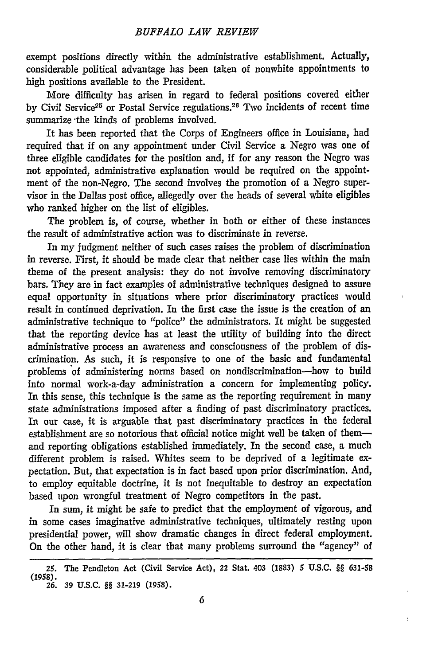exempt positions directly within the administrative establishment. Actually, considerable political advantage has been taken of nonwhite appointments to high positions available to the President.

More difficulty has arisen in regard to federal positions covered either by Civil Service<sup>25</sup> or Postal Service regulations.<sup>26</sup> Two incidents of recent time summarize the kinds of problems involved.

It has been reported that the Corps of Engineers office in Louisiana, had required that if on any appointment under Civil Service a Negro was one of three eligible candidates for the position and, if for any reason the Negro was not appointed, administrative explanation would be required on the appointment of the non-Negro. The second involves the promotion of a Negro supervisor in the Dallas post office, allegedly over the heads of several white eligibles who ranked higher on the list of eligibles.

The problem is, of course, whether in both or either of these instances the result of administrative action was to discriminate in reverse.

In my judgment neither of such cases raises the problem of discrimination in reverse. First, it should be made clear that neither case lies within the main theme of the present analysis: they do not involve removing discriminatory bars. They are in fact examples of administrative techniques designed to assure equal opportunity in situations where prior discriminatory practices would result in continued deprivation. In the first case the issue is the creation of an administrative technique to "police" the administrators. It might be suggested that the reporting device has at least the utility of building into the direct administrative process an awareness and consciousness of the problem of discrimination. As such, it is responsive to one of the basic and fundamental problems of administering norms based on nondiscrimination-how to build into normal work-a-day administration a concern for implementing policy. In this sense, this technique is the same as the reporting requirement in many state administrations imposed after a finding of past discriminatory practices. In our case, it is arguable that past discriminatory practices in the federal establishment are so notorious that official notice might well be taken of themand reporting obligations established immediately. In the second case, a much different problem is raised. Whites seem to be deprived of a legitimate expectation. But, that expectation is in fact based upon prior discrimination. And, to employ equitable doctrine, it is not inequitable to destroy an expectation based upon wrongful treatment of Negro competitors in the past.

In sum, it might be safe to predict that the employment of vigorous, and in some cases imaginative administrative techniques, ultimately resting upon presidential power, will show dramatic changes in direct federal employment. On the other hand, it is clear that many problems surround the "agency" of

<sup>25.</sup> The Pendleton Act (Civil Service Act), 22 Stat. 403 **(1883)** 5 **U.S.C.** §§ **631-58** (1958). **26. 39 U.S.C. §§ 31-219 (1958).**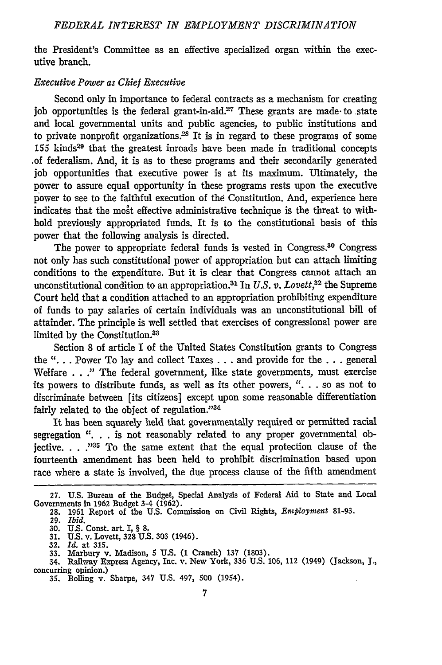the President's Committee as an effective specialized organ within the executive branch.

#### *Executive Power as Chief Executive*

Second only in importance to federal contracts as a mechanism for creating job opportunities is the federal grant-in-aid.<sup>27</sup> These grants are made to state and local governmental units and public agencies, to public institutions and to private nonprofit organizations.<sup>28</sup> It is in regard to these programs of some 155 kinds29 that the greatest inroads have been made in traditional concepts .of federalism. And, it is as to these programs and their secondarily generated job opportunities that executive power is at its maximum. Ultimately, the power to assure equal opportunity in these programs rests upon the executive power to see to the faithful execution of the Constitution. And, experience here indicates that the most effective administrative technique is the threat to withhold previously appropriated funds. It is to the constitutional basis of this power that the following analysis is directed.

The power to appropriate federal funds is vested in Congress.<sup>30</sup> Congress not only has such constitutional power of appropriation but can attach limiting conditions to the expenditure. But it is clear that Congress cannot attach an unconstitutional condition to an appropriation.<sup>31</sup> In *U.S. v. Lovett*,<sup>32</sup> the Supreme Court held that a condition attached to an appropriation prohibiting expenditure of funds to pay salaries of certain individuals was an unconstitutional bill of attainder. The principle is well settled that exercises of congressional power are limited by the Constitution.<sup>33</sup>

Section 8 of article I of the United States Constitution grants to Congress the **"..** . Power To lay and collect Taxes ... and provide for the ...general Welfare **. . ."** The federal government, like state governments, must exercise its powers to distribute funds, as well as its other powers, **". . .** so as not to discriminate between [its citizens] except upon some reasonable differentiation fairly related to the object of regulation."34

It has been squarely held that governmentally required or permitted racial segregation **".. .** is not reasonably related to any proper governmental objective. **. . ."3** To the same extent that the equal protection clause of the fourteenth amendment has been held to prohibit discrimination based upon race where a state is involved, the due process clause of the fifth amendment

**<sup>27.</sup> U.S.** Bureau **of** the Budget, Special Analysis of **Federal** Aid to State and Local Governments **in 1962** Budget 3-4 **(1962). 28. 1961** Report **of** the **U.S.** Commission on Civil Rights, *Employment* 81-93.

<sup>29.</sup> Ibid.<br>30. U.S. Const. art. I, § 8.<br>31. U.S. v. Lovett, 328 U.S. 303 (1946).<br>33. Marbury v. Madison, 5 U.S. (1 Cranch) 137 (1803).<br>34. Railway Express Agency, Inc. v. New York, 336 U.S. 106, 112 (1949) (Jackson, J., concurring opinion.)

<sup>35.</sup> Bolling v. Sharpe, 347 U.S. 497, **500** (1954).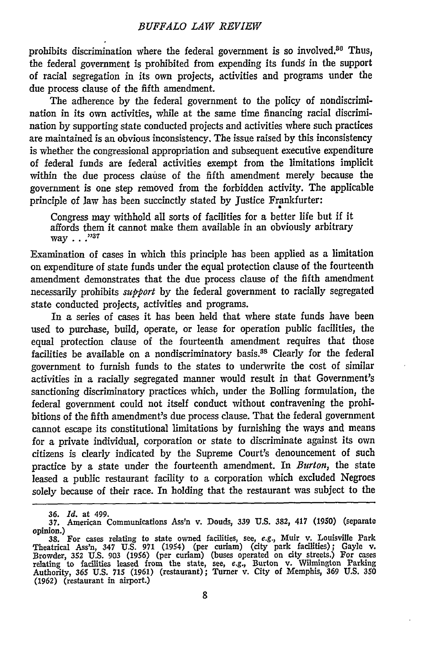prohibits discrimination where the federal government is so involved.<sup>30</sup> Thus, the federal government is prohibited from expending its funds in the support of racial segregation in its own projects, activities and programs under the due process clause of the fifth amendment.

The adherence by the federal government to the policy of nondiscrimination in its own activities, while at the same time financing racial discrimination by supporting state conducted projects and activities where such practices are maintained is an obvious inconsistency. The issue raised by this inconsistency is whether the congressional appropriation and subsequent executive expenditure of federal funds are federal activities exempt from the limitations implicit within the due process clauise of the fifth amendment merely because the government is one step removed from the forbidden activity. The applicable principle of law has been succinctly stated by Justice Frankfurter:

Congress may withhold all sorts of facilities for a better life but if it affords them it cannot make them available in an obviously arbitrary  $way \ldots$ ."<sup>37</sup>

Examination of cases in which this principle has been applied as a limitation on expenditure of state funds under the equal protection clause of the fourteenth amendment demonstrates that the due process clause of the fifth amendment necessarily prohibits *support* by the federal government to racially segregated state conducted projects, activities and programs.

In a series of cases it has been held that where state funds have been used to purchase, build, operate, or lease for operation public facilities, the equal protection clause of the fourteenth amendment requires that those facilities be available on a nondiscriminatory basis.<sup>38</sup> Clearly for the federal government to furnish funds to the states to underwrite the cost of similar activities in a racially segregated manner would result in that Government's sanctioning discriminatory practices which, under the Bolling formulation, the federal government could not itself conduct without contravening the prohibitions of the fifth amendment's due process clause. That the federal government cannot escape its constitutional limitations by furnishing the ways and means for a private individual, corporation or state to discriminate against its own citizens is clearly indicated by the Supreme Court's denouncement of such practice by a state under the fourteenth amendment. In *Burton,* the state leased a public restaurant facility to a corporation which excluded Negroes solely because of their race. In holding that the restaurant was subject to the

**<sup>36.</sup>** *Id.* at 499. 37. American Communications Ass'n v. Douds, 339 **U.S. 382,** 417 **(1950)** (separate opinion.)

**<sup>38.</sup>** For cases relating to state owned facilities, see, *e.g.,* Muir v. Louisville Park Theatrical Ass'n, 347 **U.S. 971** (1954) (per curiam) (city park facilities); Gayle **v.** Browder, **352 U.S. 903** (1956) (per curiam) (buses operated on city streets.) For cases relating to facilities leased from the state, see, **e.g.,** Burton v. Wilmington Parking Authority, **365 U.S. 715** (1961) (restaurant); Turner v. City of Memphis, 369 **U.S. 350 (1962)** (restaurant in airport.)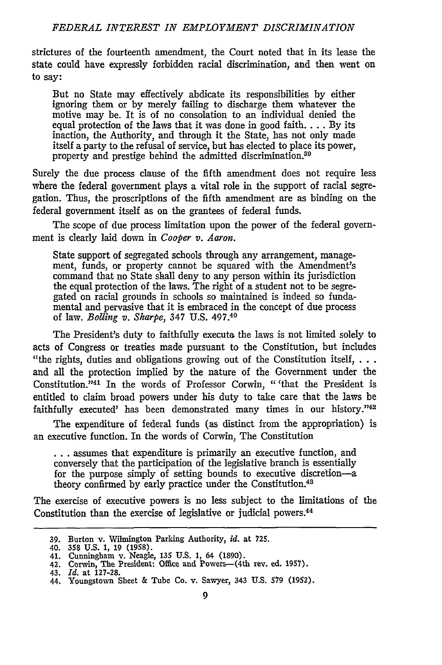strictures of the fourteenth amendment, the Court noted that in its lease the state could have expressly forbidden racial discrimination, and then went on to say:

But no State may effectively abdicate its responsibilities by either ignoring them or by merely failing to discharge them whatever the motive may be. It is of no consolation to an individual denied the equal protection of the laws that it was done in good faith **....** By its inaction, the Authority, and through it the State, has not only made itself a party to the refusal of service, but has elected to place its power, property and prestige behind the admitted discrimination.<sup>39</sup>

Surely the due process clause of the fifth amendment does not require less where the federal government plays a vital role in the support of racial segregation. Thus, the proscriptions of the fifth amendment are as binding on the federal government itself as on the grantees of federal funds.

The scope of due process limitation upon the power of the federal government is clearly laid down in *Cooper v. Aaron.*

State support of segregated schools through any arrangement, management, funds, or property cannot be squared with the Amendment's command that no State shall deny to any person within its jurisdiction the equal protection of the laws. The right of a student not to be segregated on racial grounds in schools so maintained is indeed so fundamental and pervasive that it is embraced in the concept of due process of law. *Bolling v. Sharpe*, 347 U.S. 497.40

The President's duty to faithfully execute the laws is not limited solely to acts of Congress or treaties made pursuant to the Constitution, but includes "the rights, duties and obligations growing out of the Constitution itself, **. . .** and all the protection implied by the nature of the Government under the Constitution."<sup>41</sup> In the words of Professor Corwin, " 'that the President is entitled to claim broad powers under his duty to take care that the laws be faithfully executed' has been demonstrated many times in our history."<sup>42</sup>

The expenditure of federal funds (as distinct from the appropriation) is an executive function. In the words of Corwin, The Constitution

**\*..** assumes that expenditure is primarily an executive function, and conversely that the participation of the legislative branch is essentially for the purpose simply of setting bounds to executive discretion-a theory confirmed by early practice under the Constitution.<sup>43</sup>

The exercise of executive powers is no less subject to the limitations of the Constitution than the exercise of legislative or judicial powers.<sup>44</sup>

**<sup>39.</sup>** Burton v. Wilmington Parking Authority, *id.* at 725.

<sup>40. 358</sup> U.S. **1,** 19 (1958).

<sup>41.</sup> Cunningham v. Neagle, 135 U.S. 1, 64 (1890). 42. Corwin, The President: Office and Powers--(4th rev. ed. 1957). 43. *Id.* at **127-28.** 44. Youngstown Sheet & Tube Co. v. Sawyer, 343 U.S. **579** (1952).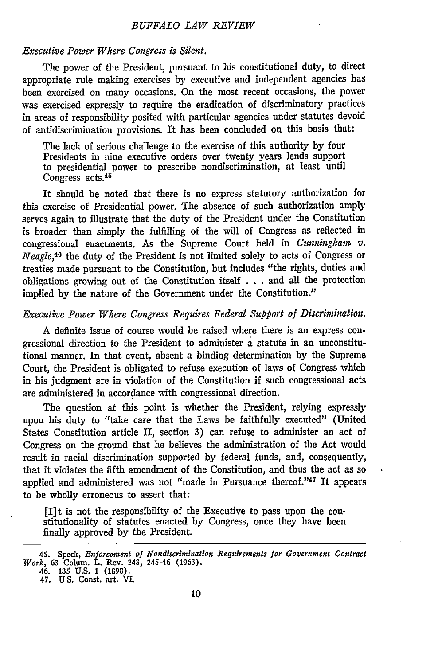#### *Executive Power Where Congress is Silent.*

The power of the President, pursuant to his constitutional duty, to direct appropriate rule making exercises by executive and independent agencies has been exercised on many occasions. On the most recent occasions, the power was exercised expressly to require the eradication of discriminatory practices in areas of responsibility posited with particular agencies under statutes devoid of antidiscrimination provisions. It has been concluded on this basis that:

The lack of serious challenge to the exercise of this authority by four Presidents in nine executive orders over twenty years lends support to presidential power to prescribe nondiscrimination, at least until Congress acts.<sup>45</sup>

It should be noted that there is no express statutory authorization for this exercise of Presidential power. The absence of such authorization amply serves again to illustrate that the duty of the President under the Constitution is broader than simply the fulfilling of the will of Congress as reflected in congressional enactments. As the Supreme Court held in *Cunningham v. Neagle,46* the duty of the President is not limited solely to acts of Congress or treaties made pursuant to the Constitution, but includes "the rights, duties and obligations growing out of the Constitution itself  $\ldots$  and all the protection implied by the nature of the Government under the Constitution."

# *Executive Power Where Congress Requires Federal Support of Discrimination.*

A definite issue of course would be raised where there is an express congressional direction to the President to administer a statute in an unconstitutional manner. In that event, absent a binding determination by the Supreme Court, the President is obligated to refuse execution of laws of Congress which in his judgment are in violation of the Constitution if such congressional acts are administered in accordance with congressional direction.

The question at this point is whether the President, relying expressly upon his duty to "take care that the Laws be faithfully executed" (United States Constitution article II, section 3) can refuse to administer an act of Congress on the ground that he believes the administration of the Act would result in racial discrimination supported by federal funds, and, consequently, that it violates the fifth amendment of the Constitution, and thus the act as so applied and administered was not "made in Pursuance thereof."47 It appears to be wholly erroneous to assert that:

[I]t is not the responsibility of the Executive to pass upon the constitutionality of statutes enacted by Congress, once they have been finally approved by the President.

<sup>45.</sup> Speck, *Enforcement of Nondiscrimination Requirements for Government Contract Work,* **63** Colum. L. Rev. 243, 245-46 **(1963).** 46. **135 U.S. 1 (1890).**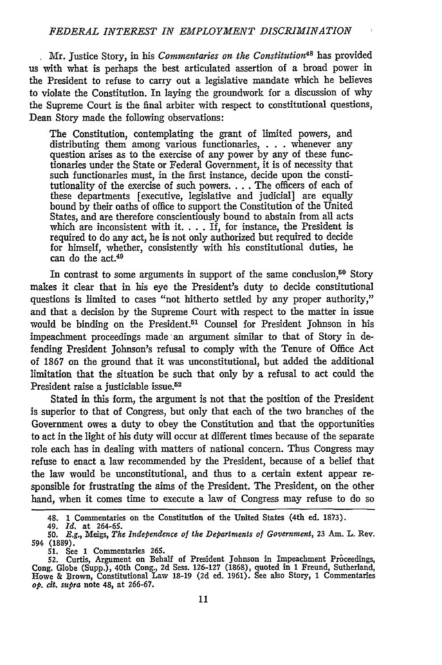#### *FEDERAL INTEREST IN EMPLOYMENT DISCRIMINATION ,*

Mr. Justice Story, in his *Commentaries on the Constitution4 <sup>8</sup>*has provided us with what is perhaps the best articulated assertion of a broad power in the President to refuse to carry out a legislative mandate which he believes to violate the Constitution. In laying the groundwork for a discussion of **why** the Supreme Court is the final arbiter with respect to constitutional questions, Dean Story made the following observations:

The Constitution, contemplating the grant of limited powers, and distributing them among various functionaries, **. . .** whenever any question arises as to the exercise of any power **by** any of these functionaries under the State or Federal Government, it is of necessity that such functionaries must, in the first instance, decide upon the constitutionality of the exercise of such powers **....** The officers of each of these departments [executive, legislative and judicial] are equally bound **by** their oaths of office to support the Constitution of the United States, and are therefore conscientiously bound to abstain from all acts which are inconsistent with **it. . . .**If, for instance, the President is required to do any act, he is not only authorized but required to decide for himself, whether, consistently with his constitutional duties, he can do the act.49

In contrast to some arguments in support of the same conclusion,  $50$  Story makes it clear that in his eye the President's duty to decide constitutional questions is limited to cases "not hitherto settled **by** any proper authority," and that a decision **by** the Supreme Court with respect to the matter in issue would be binding on the President.<sup>51</sup> Counsel for President Johnson in his impeachment proceedings made'an argument similar to that of Story in defending President Johnson's refusal to comply with the Tenure of Office Act of **1867** on the ground that it was unconstitutional, but added the additional limitation that the situation be such that only **by** a refusal to act could the President raise a justiciable issue.<sup>52</sup>

Stated in this form, the argument is not that the position of the President is superior to that of Congress, but only that each of the two branches of the Government owes a duty to obey the Constitution and that the opportunities to act in the light of his duty will occur at different times because of the separate role each has in dealing with matters of national concern. Thus Congress may refuse to enact a law recommended **by** the President, because of a belief that the law would be unconstitutional, and thus to a certain extent appear responsible for frustrating the aims of the President. The President, on the other hand, when it comes time to execute a law of Congress may refuse to do so

<sup>48.</sup> **1** Commentaries on the Constitution of the United States (4th ed. **1873).**

<sup>49.</sup> *Id.* at 264-65.

*S0.* **R,g.,** Meigs, *The Independence of the Departments of Government,* **23** Am. L. Rev. 594 **(1889).**

<sup>51.</sup> See 1 Commentaries 265.<br>52. Curtis, Argument on Behalf of President Johnson in Impeachment Proceedings Cong. Globe (Supp.), 40th Cong., **2d** Sess. **126-127 (1868),** quoted in **1** Freund, Sutherland, Howe **&** Brown, Constitutional Law **18-19 (2d** ed. **1961).** See also Story, **1** Commentaries *op. cit. supra* note 48, at **266-67.**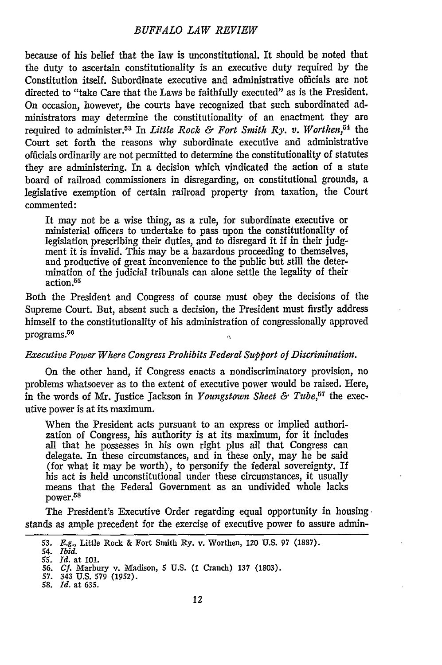because of his belief that the law is unconstitutional. It should be noted that the duty to ascertain constitutionality is an executive duty required by the Constitution itself. Subordinate executive and administrative officials are not directed to "take Care that the Laws be faithfully executed" as is the President. On occasion, however, the courts have recognized that such subordinated administrators may determine the constitutionality of an enactment they are required to administer.<sup>53</sup> In *Little Rock & Fort Smith Ry. v. Worthen*,<sup>54</sup> the Court set forth the reasons why subordinate executive and administrative officials ordinarily are not permitted to determine the constitutionality of statutes they are administering. In a decision which vindicated the action of a state board of railroad commissioners in disregarding, on constitutional grounds, a legislative exemption of certain railroad property from taxation, the Court commented:

It may not be a wise thing, as a rule, for subordinate executive or ministerial officers to undertake to pass upon the constitutionality of legislation prescribing their duties, and to disregard it if in their judgment it is invalid. This may be a hazardous proceeding to themselves, and productive of great inconvenience to the public but still the determination of the judicial tribunals can alone settle the legality of their action. <sup>55</sup>

Both the President and Congress of course must obey the decisions of the Supreme Court. But, absent such a decision, the President must firstly address himself to the constitutionality of his administration of congressionally approved programs.<sup>56</sup>

#### *Executive Power Where Congress Prohibits Federal Support of Discrimination.*

On the other hand, if Congress enacts a nondiscriminatory provision, no problems whatsoever as to the extent of executive power would be raised. Here, in the words of Mr. Justice Jackson in *Youngstown Sheet & Tube,"7* the executive power is at its maximum.

When the President acts pursuant to an express or implied authorization of Congress, his authority is at its maximum, for it includes all that he possesses in his own right plus all that Congress can delegate. In these circumstances, and in these only, may he be said (for what it may be worth), to personify the federal sovereignty. If his act is held unconstitutional under these circumstances, it usually means that the Federal Government as an undivided whole lacks power.<sup>58</sup>

The President's Executive Order regarding equal opportunity in housing stands as ample precedent for the exercise of executive power to assure admin-

**<sup>53.</sup>** *E.g.,* Little Rock & Fort Smith Ry. v. Worthen, 120 **U.S. 97 (1887).**

<sup>54.</sup> *Ibid.* 55. *Id.* at 101.

<sup>56.</sup> *Cf.* Marbury v. Madison, 5 U.S. (1 Cranch) 137 (1803).

<sup>57. 343</sup> U.S. 579 (1952). 58. *Id.* at 635.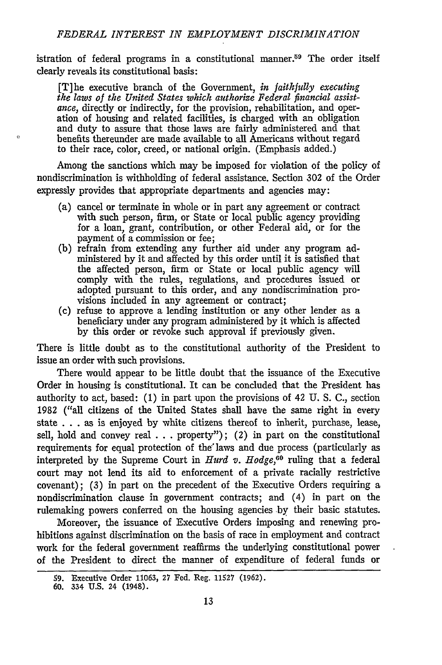*FEDERAL INTEREST IN EMPLOYMENT DISCRIMINATION*

istration of federal programs in a constitutional manner.<sup>59</sup> The order itself clearly reveals its constitutional basis:

[T]he executive branch of the Government, *in faithfully executing the laws of the United States which authorize Federal financial assistance,* directly or indirectly, for the provision, rehabilitation, and operation of housing and related facilities, is charged with an obligation and duty to assure that those laws are fairly administered and that benefits thereunder are made available to all Americans without regard to their race, color, creed, or national origin. (Emphasis added.)

Among the sanctions which may be imposed for violation of the policy of nondiscrimination is withholding of federal assistance. Section 302 of the Order expressly provides that appropriate departments and agencies may:

- (a) cancel or terminate in whole or in part any agreement or contract with such person, firm, or State or local public agency providing for a loan, grant, contribution, or other Federal aid, or for the payment of a commission or fee;
- (b) refrain from extending any further aid under any program administered by it and affected by this order until it is satisfied that the affected person, firm or State or local public agency will comply with the rules, regulations, and procedures issued or adopted pursuant to this order, and any nondiscrimination provisions included in any agreement or contract;
- (c) refuse to approve a lending institution or any other lender as a beneficiary under any program administered by it which is affected by this order or revoke such approval if previously given.

There is little doubt as to the constitutional authority of the President to issue an order with such provisions.

There would appear to be little doubt that the issuance of the Executive Order in housing is constitutional. It can be concluded that the President has authority to act, based: (1) in part upon the provisions of 42 U. S. C., section 1982 ("all citizens of the United States shall have the same right in every state **.. .**as is enjoyed **by** white citizens thereof to inherit, purchase, lease, sell, hold and convey real . . . property"); (2) in part on the constitutional requirements for equal protection of the'laws and due process (particularly as interpreted by the Supreme Court in *Hurd v. Hodge,60* ruling that a federal court may not lend its aid to enforcement of a private racially restrictive covenant); (3) in part on the precedent of the Executive Orders requiring a nondiscrimination clause in government contracts; and (4) in part on the rulemaking powers conferred on the housing agencies by their basic statutes.

Moreover, the issuance of Executive Orders imposing and renewing prohibitions against discrimination on the basis of race in employment and contract work for the federal government reaffirms the underlying constitutional power of the President to direct the manner of expenditure of federal funds or

 $\circ$ 

<sup>59.</sup> Executive Order 11063, **27** Fed. Reg. 11527 (1962).

**<sup>60.</sup>** 334 **U.S.** 24 (1948).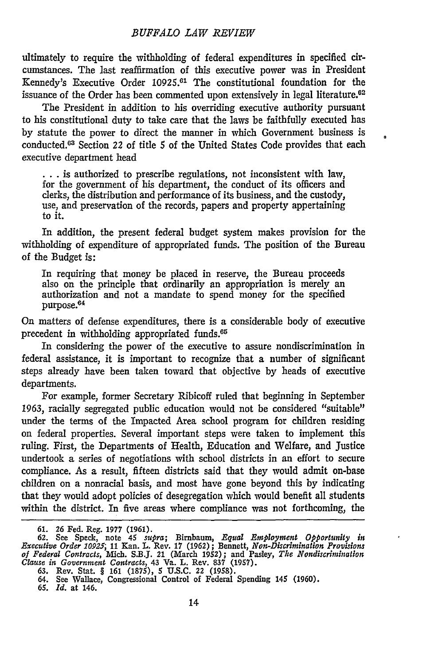ultimately to require the withholding of federal expenditures in specified circumstances. The last reaffirmation of this executive power was in President Kennedy's Executive Order **10925.61** The constitutional foundation for the issuance of the Order has been commented upon extensively in legal literature.<sup>62</sup>

The President in addition to his overriding executive authority pursuant to his constitutional duty to take care that the laws be faithfully executed has by statute the power to direct the manner in which Government business is conducted. 63 Section *22* of title **5** of the United States Code provides that each executive department head

... is authorized to prescribe regulations, not inconsistent with law, for the government of his department, the conduct of its officers and clerks, the distribution and performance of its business, and the custody, use, and preservation of the records, papers and property appertaining to it.

In addition, the present federal budget system makes provision for the withholding of expenditure of appropriated funds. The position of the Bureau of the Budget is:

In requiring that money be placed in reserve, the Bureau proceeds also on the principle that ordinarily an appropriation is merely an authorization and not a mandate to spend money for the specified purpose. <sup>64</sup>

On matters of defense expenditures, there is a considerable body of executive precedent in withholding appropriated funds.<sup>65</sup>

In considering the power of the executive to assure nondiscrimination in federal assistance, it is important to recognize that a number of significant steps already have been taken toward that objective by heads of executive departments.

For example, former Secretary Ribicoff ruled that beginning in September 1963, racially segregated public education would not be considered "suitable" under the terms of the Impacted Area school program for children residing on federal properties. Several important steps were taken to implement this ruling. First, the Departments of Health, Education and Welfare, and Justice undertook a series of negotiations with school districts in an effort to secure compliance. As a result, fifteen districts said that they would admit on-base children on a nonracial basis, and most have gone beyond this by indicating that they would adopt policies of desegregation which would benefit all students within the district. In five areas where compliance was not forthcoming, the

<sup>61.</sup> **26** Fed. Reg. 1977 (1961).

<sup>62.</sup> See Speck, note 45 supra; Birnbaum, Equal Employment Opportunity in<br>Executive Order 10925; 11 Kan. L. Rev. 17 (1962); Bennett, Non-Discrimination Provisions<br>of Federal Contracts, Mich. S.B.J. 21 (March 1952); and Pasle *Clause in Government Contracts,* 43 Va. L. Rev. **837 (1957).**

**<sup>63.</sup>** Rev. Stat. § **161** (1875), 5 **U.S.C.** 22 **(1958).**

<sup>64.</sup> See Wallace, Congressional Control of Federal Spending 145 (1960). 65. *Id.* at 146.